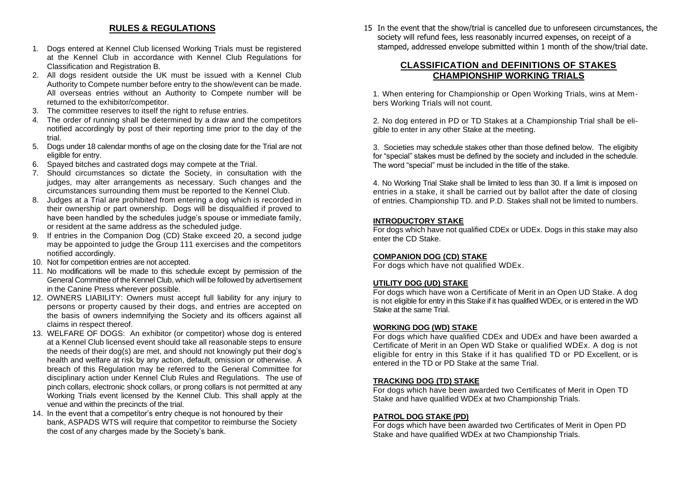# **RULES & REGULATIONS**

- 1. Dogs entered at Kennel Club licensed Working Trials must be registered at the Kennel Club in accordance with Kennel Club Regulations for Classification and Registration B.
- 2. All dogs resident outside the UK must be issued with a Kennel Club Authority to Compete number before entry to the show/event can be made. All overseas entries without an Authority to Compete number will be returned to the exhibitor/competitor.
- 3. The committee reserves to itself the right to refuse entries.
- 4. The order of running shall be determined by a draw and the competitors notified accordingly by post of their reporting time prior to the day of the trial.
- 5. Dogs under 18 calendar months of age on the closing date for the Trial are not eligible for entry.
- 6. Spayed bitches and castrated dogs may compete at the Trial.
- 7. Should circumstances so dictate the Society, in consultation with the judges, may alter arrangements as necessary. Such changes and the circumstances surrounding them must be reported to the Kennel Club.
- 8. Judges at a Trial are prohibited from entering a dog which is recorded in their ownership or part ownership. Dogs will be disqualified if proved to have been handled by the schedules judge's spouse or immediate family, or resident at the same address as the scheduled judge.
- 9. If entries in the Companion Dog (CD) Stake exceed 20, a second judge may be appointed to judge the Group 111 exercises and the competitors notified accordingly.
- 10. Not for competition entries are not accepted.
- 11. No modifications will be made to this schedule except by permission of the General Committee of the Kennel Club, which will be followed by advertisement in the Canine Press wherever possible.
- 12. OWNERS LIABILITY: Owners must accept full liability for any injury to persons or property caused by their dogs, and entries are accepted on the basis of owners indemnifying the Society and its officers against all claims in respect thereof.
- 13. WELFARE OF DOGS: An exhibitor (or competitor) whose dog is entered at a Kennel Club licensed event should take all reasonable steps to ensure the needs of their dog(s) are met, and should not knowingly put their dog's health and welfare at risk by any action, default, omission or otherwise. A breach of this Regulation may be referred to the General Committee for disciplinary action under Kennel Club Rules and Regulations. The use of pinch collars, electronic shock collars, or prong collars is not permitted at any Working Trials event licensed by the Kennel Club. This shall apply at the venue and within the precincts of the trial.
- 14. In the event that a competitor's entry cheque is not honoured by their bank, ASPADS WTS will require that competitor to reimburse the Society the cost of any charges made by the Society's bank.

15 In the event that the show/trial is cancelled due to unforeseen circumstances, the society will refund fees, less reasonably incurred expenses, on receipt of a stamped, addressed envelope submitted within 1 month of the show/trial date.

## **CLASSIFICATION and DEFINITIONS OF STAKES CHAMPIONSHIP WORKING TRIALS**

1. When entering for Championship or Open Working Trials, wins at Members Working Trials will not count.

2. No dog entered in PD or TD Stakes at a Championship Trial shall be eligible to enter in any other Stake at the meeting.

3. Societies may schedule stakes other than those defined below. The eligibity for "special" stakes must be defined by the society and included in the schedule. The word "special" must be included in the title of the stake.

4. No Working Trial Stake shall be limited to less than 30. If a limit is imposed on entries in a stake, it shall be carried out by ballot after the date of closing of entries. Championship TD. and P.D. Stakes shall not be limited to numbers.

## **INTRODUCTORY STAKE**

For dogs which have not qualified CDEx or UDEx. Dogs in this stake may also enter the CD Stake.

#### **COMPANION DOG (CD) STAKE**

For dogs which have not qualified WDEx.

## **UTILITY DOG (UD) STAKE**

For dogs which have won a Certificate of Merit in an Open UD Stake. A dog is not eligible for entry in this Stake if it has qualified WDEx, or is entered in the WD Stake at the same Trial.

#### **WORKING DOG (WD) STAKE**

For dogs which have qualified CDEx and UDEx and have been awarded a Certificate of Merit in an Open WD Stake or qualified WDEx. A dog is not eligible for entry in this Stake if it has qualified TD or PD Excellent, or is entered in the TD or PD Stake at the same Trial.

#### **TRACKING DOG (TD) STAKE**

For dogs which have been awarded two Certificates of Merit in Open TD Stake and have qualified WDEx at two Championship Trials.

#### **PATROL DOG STAKE (PD)**

For dogs which have been awarded two Certificates of Merit in Open PD Stake and have qualified WDEx at two Championship Trials.